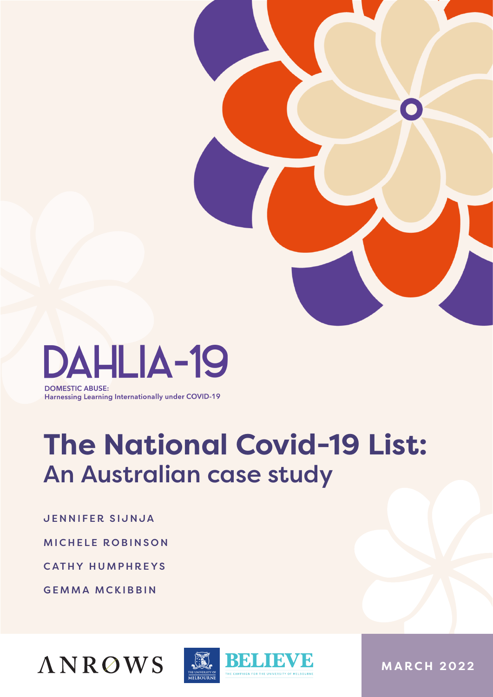

**DOMESTIC ABUSE: Harnessing Learning Internationally under COVID-19** 

# **The National Covid-19 List:**  An Australian case study

JENNIFER SIJNJA

MICHELE ROBINSON

CATHY HUMPHREYS

GEMMA MCKIBBIN





**MARCH 2022**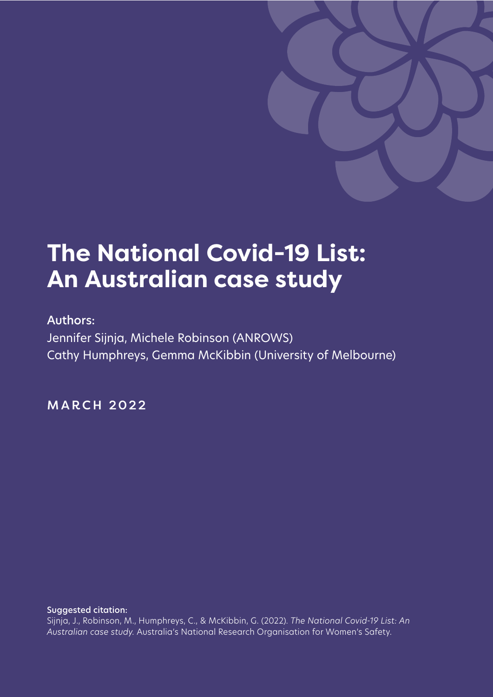

### **The National Covid-19 List: An Australian case study**

#### Authors:

Jennifer Sijnja, Michele Robinson (ANROWS) Cathy Humphreys, Gemma McKibbin (University of Melbourne)

MARCH 2022

Suggested citation: Sijnja, J., Robinson, M., Humphreys, C., & McKibbin, G. (2022). *The National Covid-19 List: An Australian case study.* Australia's National Research Organisation for Women's Safety.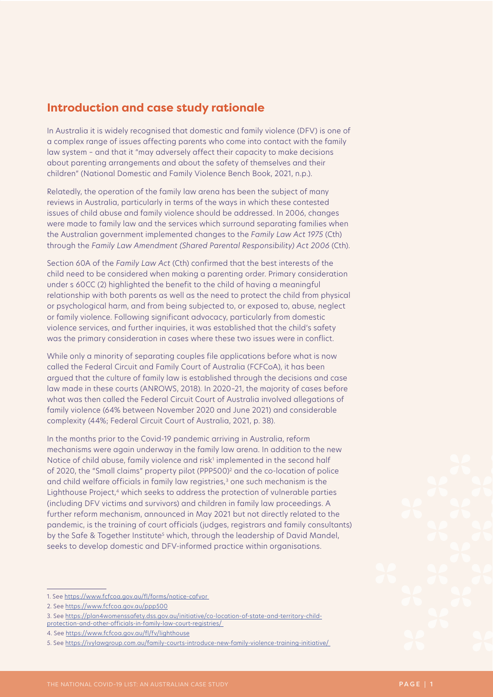#### **Introduction and case study rationale**

In Australia it is widely recognised that domestic and family violence (DFV) is one of a complex range of issues affecting parents who come into contact with the family law system – and that it "may adversely affect their capacity to make decisions about parenting arrangements and about the safety of themselves and their children" (National Domestic and Family Violence Bench Book, 2021, n.p.).

Relatedly, the operation of the family law arena has been the subject of many reviews in Australia, particularly in terms of the ways in which these contested issues of child abuse and family violence should be addressed. In 2006, changes were made to family law and the services which surround separating families when the Australian government implemented changes to the *Family Law Act 1975* (Cth) through the *Family Law Amendment (Shared Parental Responsibility) Act 2006* (Cth).

Section 60A of the *Family Law Act* (Cth) confirmed that the best interests of the child need to be considered when making a parenting order. Primary consideration under s 60CC (2) highlighted the benefit to the child of having a meaningful relationship with both parents as well as the need to protect the child from physical or psychological harm, and from being subjected to, or exposed to, abuse, neglect or family violence. Following significant advocacy, particularly from domestic violence services, and further inquiries, it was established that the child's safety was the primary consideration in cases where these two issues were in conflict.

While only a minority of separating couples file applications before what is now called the Federal Circuit and Family Court of Australia (FCFCoA), it has been argued that the culture of family law is established through the decisions and case law made in these courts (ANROWS, 2018). In 2020–21, the majority of cases before what was then called the Federal Circuit Court of Australia involved allegations of family violence (64% between November 2020 and June 2021) and considerable complexity (44%; Federal Circuit Court of Australia, 2021, p. 38).

In the months prior to the Covid-19 pandemic arriving in Australia, reform mechanisms were again underway in the family law arena. In addition to the new Notice of child abuse, family violence and risk<sup>1</sup> implemented in the second half of 2020, the "Small claims" property pilot (PPP500)<sup>2</sup> and the co-location of police and child welfare officials in family law registries,<sup>3</sup> one such mechanism is the Lighthouse Project,<sup>4</sup> which seeks to address the protection of vulnerable parties (including DFV victims and survivors) and children in family law proceedings. A further reform mechanism, announced in May 2021 but not directly related to the pandemic, is the training of court officials (judges, registrars and family consultants) by the Safe & Together Institute<sup>s</sup> which, through the leadership of David Mandel, seeks to develop domestic and DFV-informed practice within organisations.

<sup>1.</sup> See <https://www.fcfcoa.gov.au/fl/forms/notice-cafvor>

<sup>2.</sup> See <https://www.fcfcoa.gov.au/ppp500>

<sup>3.</sup> See [https://plan4womenssafety.dss.gov.au/initiative/co-location-of-state-and-territory-child-](https://plan4womenssafety.dss.gov.au/initiative/co-location-of-state-and-territory-child-protection-and-other-officials-in-family-law-court-registries/)

[protection-and-other-officials-in-family-law-court-registries/](https://plan4womenssafety.dss.gov.au/initiative/co-location-of-state-and-territory-child-protection-and-other-officials-in-family-law-court-registries/)

<sup>4.</sup> See<https://www.fcfcoa.gov.au/fl/fv/lighthouse>

<sup>5.</sup> See <https://ivylawgroup.com.au/family-courts-introduce-new-family-violence-training-initiative/>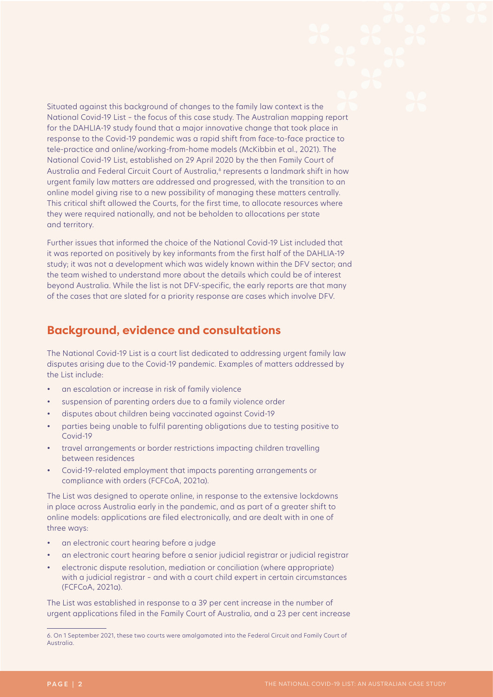Situated against this background of changes to the family law context is the National Covid-19 List – the focus of this case study. The Australian mapping report for the DAHLIA-19 study found that a major innovative change that took place in response to the Covid-19 pandemic was a rapid shift from face-to-face practice to tele-practice and online/working-from-home models (McKibbin et al., 2021). The National Covid-19 List, established on 29 April 2020 by the then Family Court of Australia and Federal Circuit Court of Australia,<sup>6</sup> represents a landmark shift in how urgent family law matters are addressed and progressed, with the transition to an online model giving rise to a new possibility of managing these matters centrally. This critical shift allowed the Courts, for the first time, to allocate resources where they were required nationally, and not be beholden to allocations per state and territory.

Further issues that informed the choice of the National Covid-19 List included that it was reported on positively by key informants from the first half of the DAHLIA-19 study; it was not a development which was widely known within the DFV sector; and the team wished to understand more about the details which could be of interest beyond Australia. While the list is not DFV-specific, the early reports are that many of the cases that are slated for a priority response are cases which involve DFV.

#### **Background, evidence and consultations**

The National Covid-19 List is a court list dedicated to addressing urgent family law disputes arising due to the Covid-19 pandemic. Examples of matters addressed by the List include:

- an escalation or increase in risk of family violence
- suspension of parenting orders due to a family violence order
- disputes about children being vaccinated against Covid-19
- parties being unable to fulfil parenting obligations due to testing positive to Covid-19
- travel arrangements or border restrictions impacting children travelling between residences
- Covid-19-related employment that impacts parenting arrangements or compliance with orders (FCFCoA, 2021a).

The List was designed to operate online, in response to the extensive lockdowns in place across Australia early in the pandemic, and as part of a greater shift to online models: applications are filed electronically, and are dealt with in one of three ways:

- an electronic court hearing before a judge
- an electronic court hearing before a senior judicial registrar or judicial registrar
- electronic dispute resolution, mediation or conciliation (where appropriate) with a judicial registrar – and with a court child expert in certain circumstances (FCFCoA, 2021a).

The List was established in response to a 39 per cent increase in the number of urgent applications filed in the Family Court of Australia, and a 23 per cent increase

<sup>6.</sup> On 1 September 2021, these two courts were amalgamated into the Federal Circuit and Family Court of Australia.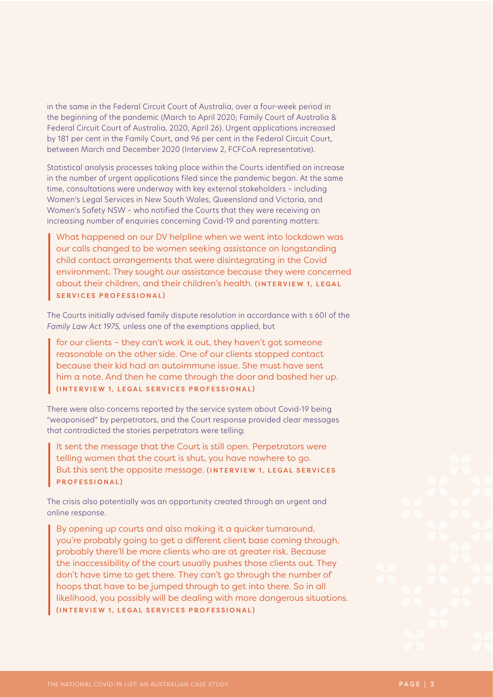in the same in the Federal Circuit Court of Australia, over a four-week period in the beginning of the pandemic (March to April 2020; Family Court of Australia & Federal Circuit Court of Australia, 2020, April 26). Urgent applications increased by 181 per cent in the Family Court, and 96 per cent in the Federal Circuit Court, between March and December 2020 (Interview 2, FCFCoA representative).

Statistical analysis processes taking place within the Courts identified an increase in the number of urgent applications filed since the pandemic began. At the same time, consultations were underway with key external stakeholders – including Women's Legal Services in New South Wales, Queensland and Victoria, and Women's Safety NSW – who notified the Courts that they were receiving an increasing number of enquiries concerning Covid-19 and parenting matters:

What happened on our DV helpline when we went into lockdown was our calls changed to be women seeking assistance on longstanding child contact arrangements that were disintegrating in the Covid environment. They sought our assistance because they were concerned about their children, and their children's health. (INTERVIEW 1, LEGAL SERVICES PROFESSIONAL)

The Courts initially advised family dispute resolution in accordance with s 60I of the *Family Law Act 1975,* unless one of the exemptions applied, but

for our clients – they can't work it out, they haven't got someone reasonable on the other side. One of our clients stopped contact because their kid had an autoimmune issue. She must have sent him a note. And then he came through the door and bashed her up. (INTERVIEW 1, LEGAL SERVICES PROFESSIONAL)

There were also concerns reported by the service system about Covid-19 being "weaponised" by perpetrators, and the Court response provided clear messages that contradicted the stories perpetrators were telling:

It sent the message that the Court is still open. Perpetrators were telling women that the court is shut, you have nowhere to go. But this sent the opposite message. (INTERVIEW 1, LEGAL SERVICES PROFESSIONAL)

The crisis also potentially was an opportunity created through an urgent and online response.

By opening up courts and also making it a quicker turnaround, you're probably going to get a different client base coming through, probably there'll be more clients who are at greater risk. Because the inaccessibility of the court usually pushes those clients out. They don't have time to get there. They can't go through the number of hoops that have to be jumped through to get into there. So in all likelihood, you possibly will be dealing with more dangerous situations. (INTERVIEW 1, LEGAL SERVICES PROFESSIONAL)

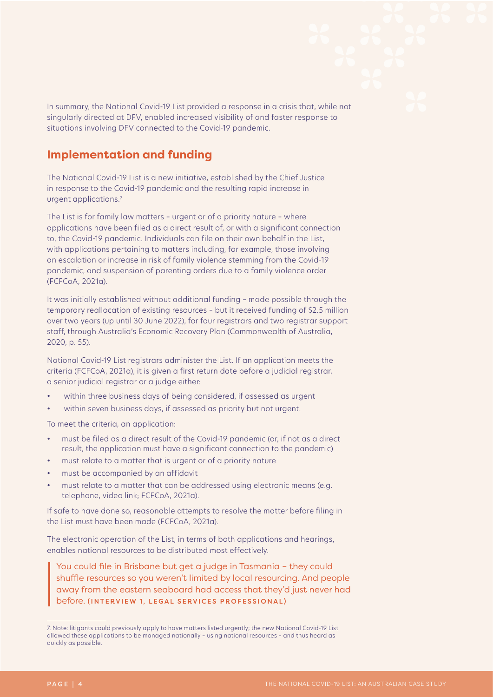In summary, the National Covid-19 List provided a response in a crisis that, while not singularly directed at DFV, enabled increased visibility of and faster response to situations involving DFV connected to the Covid-19 pandemic.

#### **Implementation and funding**

The National Covid-19 List is a new initiative, established by the Chief Justice in response to the Covid-19 pandemic and the resulting rapid increase in urgent applications.<sup>7</sup>

The List is for family law matters – urgent or of a priority nature – where applications have been filed as a direct result of, or with a significant connection to, the Covid-19 pandemic. Individuals can file on their own behalf in the List, with applications pertaining to matters including, for example, those involving an escalation or increase in risk of family violence stemming from the Covid-19 pandemic, and suspension of parenting orders due to a family violence order (FCFCoA, 2021a).

It was initially established without additional funding – made possible through the temporary reallocation of existing resources – but it received funding of \$2.5 million over two years (up until 30 June 2022), for four registrars and two registrar support staff, through Australia's Economic Recovery Plan (Commonwealth of Australia, 2020, p. 55).

National Covid-19 List registrars administer the List. If an application meets the criteria (FCFCoA, 2021a), it is given a first return date before a judicial registrar, a senior judicial registrar or a judge either:

- within three business days of being considered, if assessed as urgent
- within seven business days, if assessed as priority but not urgent.

To meet the criteria, an application:

- must be filed as a direct result of the Covid-19 pandemic (or, if not as a direct result, the application must have a significant connection to the pandemic)
- must relate to a matter that is urgent or of a priority nature
- must be accompanied by an affidavit
- must relate to a matter that can be addressed using electronic means (e.g. telephone, video link; FCFCoA, 2021a).

If safe to have done so, reasonable attempts to resolve the matter before filing in the List must have been made (FCFCoA, 2021a).

The electronic operation of the List, in terms of both applications and hearings, enables national resources to be distributed most effectively.

You could file in Brisbane but get a judge in Tasmania – they could shuffle resources so you weren't limited by local resourcing. And people away from the eastern seaboard had access that they'd just never had before. (INTERVIEW 1, LEGAL SERVICES PROFESSIONAL)

<sup>7.</sup> Note: litigants could previously apply to have matters listed urgently; the new National Covid-19 List allowed these applications to be managed nationally – using national resources – and thus heard as quickly as possible.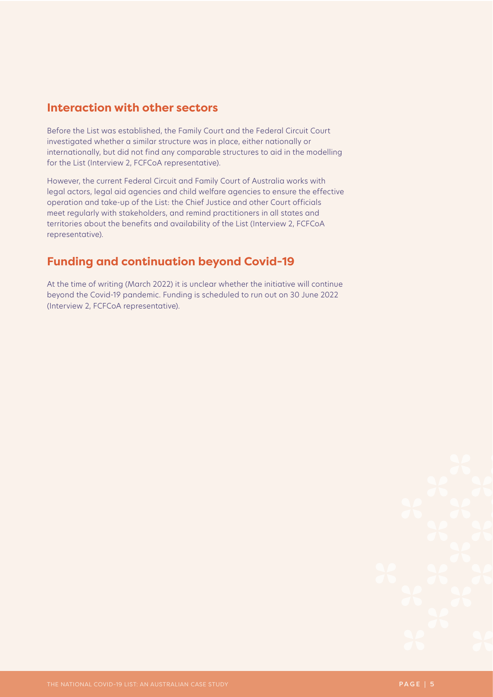#### **Interaction with other sectors**

Before the List was established, the Family Court and the Federal Circuit Court investigated whether a similar structure was in place, either nationally or internationally, but did not find any comparable structures to aid in the modelling for the List (Interview 2, FCFCoA representative).

However, the current Federal Circuit and Family Court of Australia works with legal actors, legal aid agencies and child welfare agencies to ensure the effective operation and take-up of the List: the Chief Justice and other Court officials meet regularly with stakeholders, and remind practitioners in all states and territories about the benefits and availability of the List (Interview 2, FCFCoA representative).

#### **Funding and continuation beyond Covid-19**

At the time of writing (March 2022) it is unclear whether the initiative will continue beyond the Covid-19 pandemic. Funding is scheduled to run out on 30 June 2022 (Interview 2, FCFCoA representative).

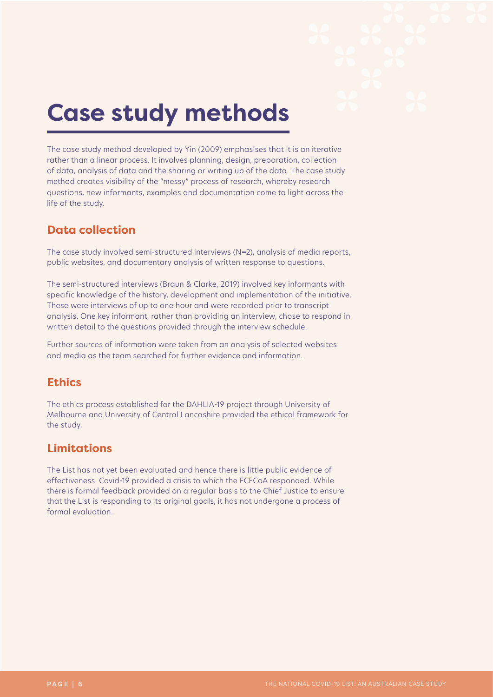# **Case study methods**

The case study method developed by Yin (2009) emphasises that it is an iterative rather than a linear process. It involves planning, design, preparation, collection of data, analysis of data and the sharing or writing up of the data. The case study method creates visibility of the "messy" process of research, whereby research questions, new informants, examples and documentation come to light across the life of the study.

#### **Data collection**

The case study involved semi-structured interviews (N=2), analysis of media reports, public websites, and documentary analysis of written response to questions.

The semi-structured interviews (Braun & Clarke, 2019) involved key informants with specific knowledge of the history, development and implementation of the initiative. These were interviews of up to one hour and were recorded prior to transcript analysis. One key informant, rather than providing an interview, chose to respond in written detail to the questions provided through the interview schedule.

Further sources of information were taken from an analysis of selected websites and media as the team searched for further evidence and information.

#### **Ethics**

The ethics process established for the DAHLIA-19 project through University of Melbourne and University of Central Lancashire provided the ethical framework for the study.

#### **Limitations**

The List has not yet been evaluated and hence there is little public evidence of effectiveness. Covid-19 provided a crisis to which the FCFCoA responded. While there is formal feedback provided on a regular basis to the Chief Justice to ensure that the List is responding to its original goals, it has not undergone a process of formal evaluation.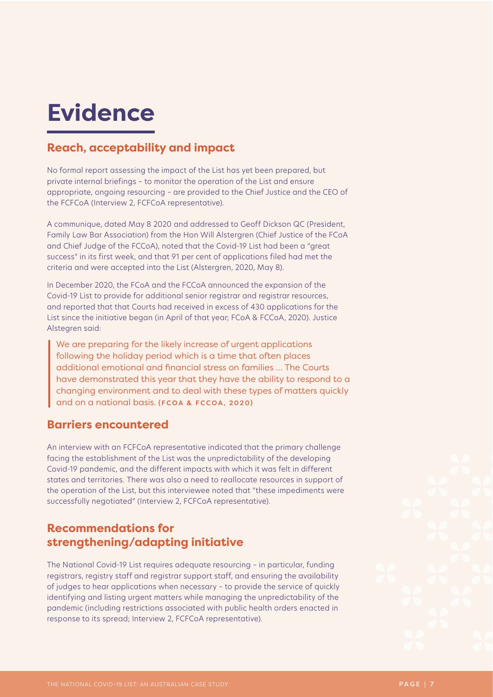## **Evidence**

#### **Reach, acceptability and impact**

No formal report assessing the impact of the List has yet been prepared, but private internal briefings – to monitor the operation of the List and ensure appropriate, ongoing resourcing – are provided to the Chief Justice and the CEO of the FCFCoA (Interview 2, FCFCoA representative).

A communique, dated May 8 2020 and addressed to Geoff Dickson QC (President, Family Law Bar Association) from the Hon Will Alstergren (Chief Justice of the FCoA and Chief Judge of the FCCoA), noted that the Covid-19 List had been a "great success" in its first week, and that 91 per cent of applications filed had met the criteria and were accepted into the List (Alstergren, 2020, May 8).

In December 2020, the FCoA and the FCCoA announced the expansion of the Covid-19 List to provide for additional senior registrar and registrar resources, and reported that that Courts had received in excess of 430 applications for the List since the initiative began (in April of that year; FCoA & FCCoA, 2020). Justice Alstegren said:

We are preparing for the likely increase of urgent applications following the holiday period which is a time that often places additional emotional and financial stress on families … The Courts have demonstrated this year that they have the ability to respond to a changing environment and to deal with these types of matters quickly and on a national basis. (FCOA & FCCOA, 2020)

#### **Barriers encountered**

An interview with an FCFCoA representative indicated that the primary challenge facing the establishment of the List was the unpredictability of the developing Covid-19 pandemic, and the different impacts with which it was felt in different states and territories. There was also a need to reallocate resources in support of the operation of the List, but this interviewee noted that "these impediments were successfully negotiated" (Interview 2, FCFCoA representative).

#### **Recommendations for strengthening/adapting initiative**

The National Covid-19 List requires adequate resourcing – in particular, funding registrars, registry staff and registrar support staff, and ensuring the availability of judges to hear applications when necessary – to provide the service of quickly identifying and listing urgent matters while managing the unpredictability of the pandemic (including restrictions associated with public health orders enacted in response to its spread; Interview 2, FCFCoA representative).

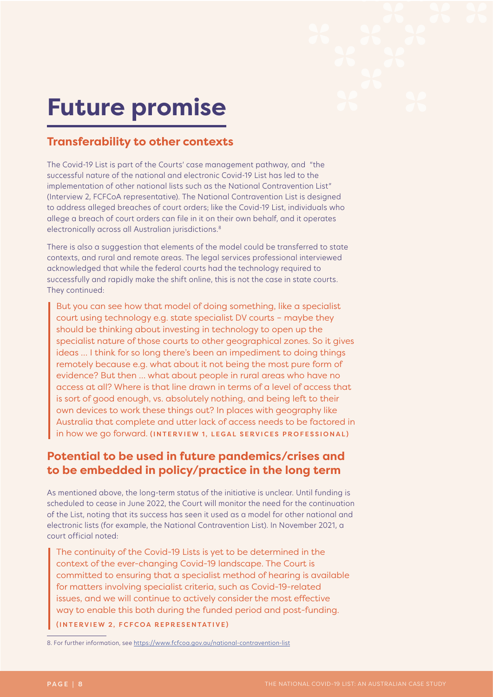## **Future promise**

#### **Transferability to other contexts**

The Covid-19 List is part of the Courts' case management pathway, and "the successful nature of the national and electronic Covid-19 List has led to the implementation of other national lists such as the National Contravention List" (Interview 2, FCFCoA representative). The National Contravention List is designed to address alleged breaches of court orders; like the Covid-19 List, individuals who allege a breach of court orders can file in it on their own behalf, and it operates electronically across all Australian jurisdictions.<sup>8</sup>

There is also a suggestion that elements of the model could be transferred to state contexts, and rural and remote areas. The legal services professional interviewed acknowledged that while the federal courts had the technology required to successfully and rapidly make the shift online, this is not the case in state courts. They continued:

But you can see how that model of doing something, like a specialist court using technology e.g. state specialist DV courts – maybe they should be thinking about investing in technology to open up the specialist nature of those courts to other geographical zones. So it gives ideas … I think for so long there's been an impediment to doing things remotely because e.g. what about it not being the most pure form of evidence? But then … what about people in rural areas who have no access at all? Where is that line drawn in terms of a level of access that is sort of good enough, vs. absolutely nothing, and being left to their own devices to work these things out? In places with geography like Australia that complete and utter lack of access needs to be factored in in how we go forward. (INTERVIEW 1, LEGAL SERVICES PROFESSIONAL)

#### **Potential to be used in future pandemics/crises and to be embedded in policy/practice in the long term**

As mentioned above, the long-term status of the initiative is unclear. Until funding is scheduled to cease in June 2022, the Court will monitor the need for the continuation of the List, noting that its success has seen it used as a model for other national and electronic lists (for example, the National Contravention List). In November 2021, a court official noted:

The continuity of the Covid-19 Lists is yet to be determined in the context of the ever-changing Covid-19 landscape. The Court is committed to ensuring that a specialist method of hearing is available for matters involving specialist criteria, such as Covid-19-related issues, and we will continue to actively consider the most effective way to enable this both during the funded period and post-funding. (INTERVIEW 2, FCFCOA REPRESENTATIVE)

8. For further information, see <https://www.fcfcoa.gov.au/national-contravention-list>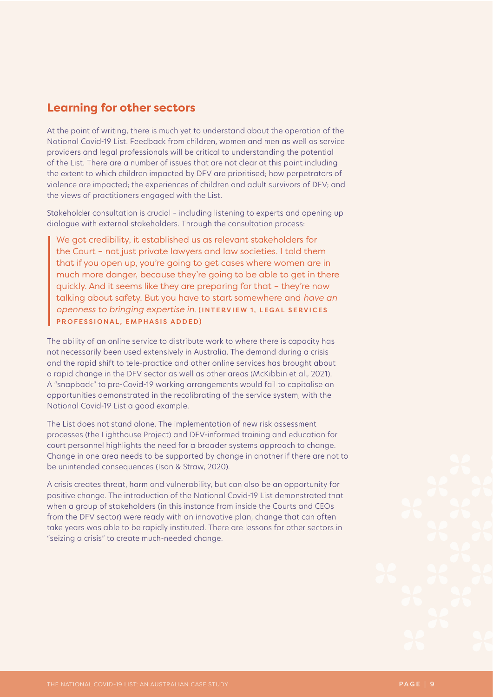#### **Learning for other sectors**

At the point of writing, there is much yet to understand about the operation of the National Covid-19 List. Feedback from children, women and men as well as service providers and legal professionals will be critical to understanding the potential of the List. There are a number of issues that are not clear at this point including the extent to which children impacted by DFV are prioritised; how perpetrators of violence are impacted; the experiences of children and adult survivors of DFV; and the views of practitioners engaged with the List.

Stakeholder consultation is crucial – including listening to experts and opening up dialogue with external stakeholders. Through the consultation process:

We got credibility, it established us as relevant stakeholders for the Court – not just private lawyers and law societies. I told them that if you open up, you're going to get cases where women are in much more danger, because they're going to be able to get in there quickly. And it seems like they are preparing for that – they're now talking about safety. But you have to start somewhere and *have an openness to bringing expertise in.* (INTERVIEW 1, LEGAL SERVICES PROFESSIONAL, EMPHASIS ADDED)

The ability of an online service to distribute work to where there is capacity has not necessarily been used extensively in Australia. The demand during a crisis and the rapid shift to tele-practice and other online services has brought about a rapid change in the DFV sector as well as other areas (McKibbin et al., 2021). A "snapback" to pre-Covid-19 working arrangements would fail to capitalise on opportunities demonstrated in the recalibrating of the service system, with the National Covid-19 List a good example.

The List does not stand alone. The implementation of new risk assessment processes (the Lighthouse Project) and DFV-informed training and education for court personnel highlights the need for a broader systems approach to change. Change in one area needs to be supported by change in another if there are not to be unintended consequences (Ison & Straw, 2020).

A crisis creates threat, harm and vulnerability, but can also be an opportunity for positive change. The introduction of the National Covid-19 List demonstrated that when a group of stakeholders (in this instance from inside the Courts and CEOs from the DFV sector) were ready with an innovative plan, change that can often take years was able to be rapidly instituted. There are lessons for other sectors in "seizing a crisis" to create much-needed change.

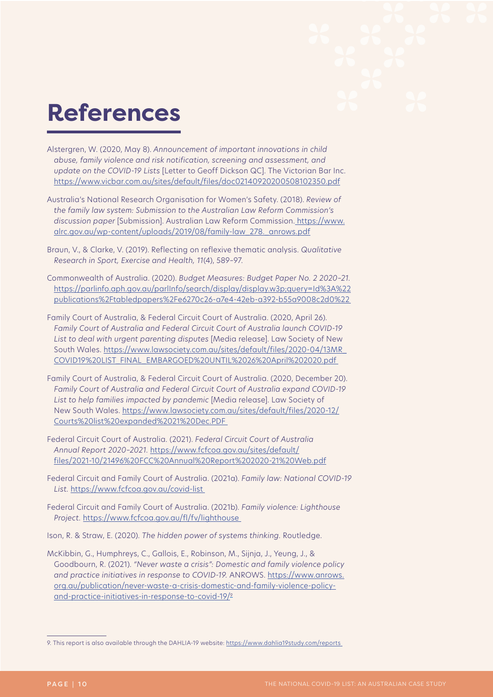### **References**

- Alstergren, W. (2020, May 8). *Announcement of important innovations in child abuse, family violence and risk notification, screening and assessment, and update on the COVID-19 Lists* [Letter to Geoff Dickson QC]. The Victorian Bar Inc. <https://www.vicbar.com.au/sites/default/files/doc02140920200508102350.pdf>
- Australia's National Research Organisation for Women's Safety. (2018). *Review of the family law system: Submission to the Australian Law Reform Commission's discussion paper* [Submission]. Australian Law Reform Commission. [https://www.](https://www.alrc.gov.au/wp-content/uploads/2019/08/family-law_278._anrows.pdf) [alrc.gov.au/wp-content/uploads/2019/08/family-law\\_278.\\_anrows.pdf](https://www.alrc.gov.au/wp-content/uploads/2019/08/family-law_278._anrows.pdf)
- Braun, V., & Clarke, V. (2019). Reflecting on reflexive thematic analysis. *Qualitative Research in Sport, Exercise and Health, 11*(4), 589–97.
- Commonwealth of Australia. (2020). *Budget Measures: Budget Paper No. 2 2020–21.* [https://parlinfo.aph.gov.au/parlInfo/search/display/display.w3p;query=Id%3A%22](https://parlinfo.aph.gov.au/parlInfo/search/display/display.w3p;query=Id%3A%22publications%2Ftabledpapers%2Fe6270c26-a7e4-42eb-a392-b55a9008c2d0%22) [publications%2Ftabledpapers%2Fe6270c26-a7e4-42eb-a392-b55a9008c2d0%22](https://parlinfo.aph.gov.au/parlInfo/search/display/display.w3p;query=Id%3A%22publications%2Ftabledpapers%2Fe6270c26-a7e4-42eb-a392-b55a9008c2d0%22)
- Family Court of Australia, & Federal Circuit Court of Australia. (2020, April 26). *Family Court of Australia and Federal Circuit Court of Australia launch COVID-19 List to deal with urgent parenting disputes* [Media release]. Law Society of New South Wales. [https://www.lawsociety.com.au/sites/default/files/2020-04/13MR\\_](https://www.lawsociety.com.au/sites/default/files/2020-04/13MR_COVID19%20LIST_FINAL_EMBARGOED%20UNTIL%2026%20April%202020.pdf) [COVID19%20LIST\\_FINAL\\_EMBARGOED%20UNTIL%2026%20April%202020.pdf](https://www.lawsociety.com.au/sites/default/files/2020-04/13MR_COVID19%20LIST_FINAL_EMBARGOED%20UNTIL%2026%20April%202020.pdf)
- Family Court of Australia, & Federal Circuit Court of Australia. (2020, December 20). *Family Court of Australia and Federal Circuit Court of Australia expand COVID-19 List to help families impacted by pandemic* [Media release]. Law Society of New South Wales. [https://www.lawsociety.com.au/sites/default/files/2020-12/](https://www.lawsociety.com.au/sites/default/files/2020-12/Courts%20list%20expanded%2021%20Dec.PDF) [Courts%20list%20expanded%2021%20Dec.PDF](https://www.lawsociety.com.au/sites/default/files/2020-12/Courts%20list%20expanded%2021%20Dec.PDF)
- Federal Circuit Court of Australia. (2021). *Federal Circuit Court of Australia Annual Report 2020–2021.* [https://www.fcfcoa.gov.au/sites/default/](https://www.fcfcoa.gov.au/sites/default/files/2021-10/21496%20FCC%20Annual%20Report%202020-21%20Web.pdf) [files/2021-10/21496%20FCC%20Annual%20Report%202020-21%20Web.pdf](https://www.fcfcoa.gov.au/sites/default/files/2021-10/21496%20FCC%20Annual%20Report%202020-21%20Web.pdf)
- Federal Circuit and Family Court of Australia. (2021a). *Family law: National COVID-19 List.* <https://www.fcfcoa.gov.au/covid-list>
- Federal Circuit and Family Court of Australia. (2021b). *Family violence: Lighthouse Project.* <https://www.fcfcoa.gov.au/fl/fv/lighthouse>
- Ison, R. & Straw, E. (2020). *The hidden power of systems thinking.* Routledge.
- McKibbin, G., Humphreys, C., Gallois, E., Robinson, M., Sijnja, J., Yeung, J., & Goodbourn, R. (2021). *"Never waste a crisis": Domestic and family violence policy*  and practice initiatives in response to COVID-19. ANROWS. [https://www.anrows.](https://www.anrows.org.au/publication/never-waste-a-crisis-domestic-and-family-violence-policy-and-practice-initiatives-in-response-to-covid-19/) [org.au/publication/never-waste-a-crisis-domestic-and-family-violence-policy](https://www.anrows.org.au/publication/never-waste-a-crisis-domestic-and-family-violence-policy-and-practice-initiatives-in-response-to-covid-19/)[and-practice-initiatives-in-response-to-covid-19/](https://www.anrows.org.au/publication/never-waste-a-crisis-domestic-and-family-violence-policy-and-practice-initiatives-in-response-to-covid-19/)9

<sup>9.</sup> This report is also available through the DAHLIA-19 website:<https://www.dahlia19study.com/reports>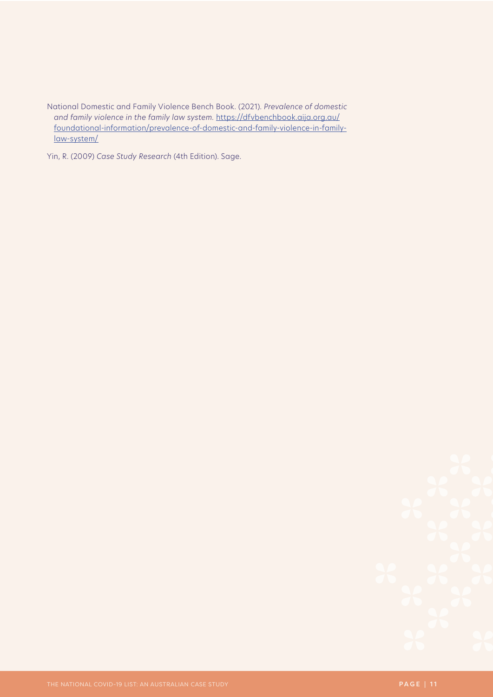National Domestic and Family Violence Bench Book. (2021). *Prevalence of domestic and family violence in the family law system.* [https://dfvbenchbook.aija.org.au/](https://dfvbenchbook.aija.org.au/foundational-information/prevalence-of-domestic-and-family-violence-in-family-law-system/) [foundational-information/prevalence-of-domestic-and-family-violence-in-family](https://dfvbenchbook.aija.org.au/foundational-information/prevalence-of-domestic-and-family-violence-in-family-law-system/)[law-system/](https://dfvbenchbook.aija.org.au/foundational-information/prevalence-of-domestic-and-family-violence-in-family-law-system/)

Yin, R. (2009) *Case Study Research* (4th Edition). Sage.